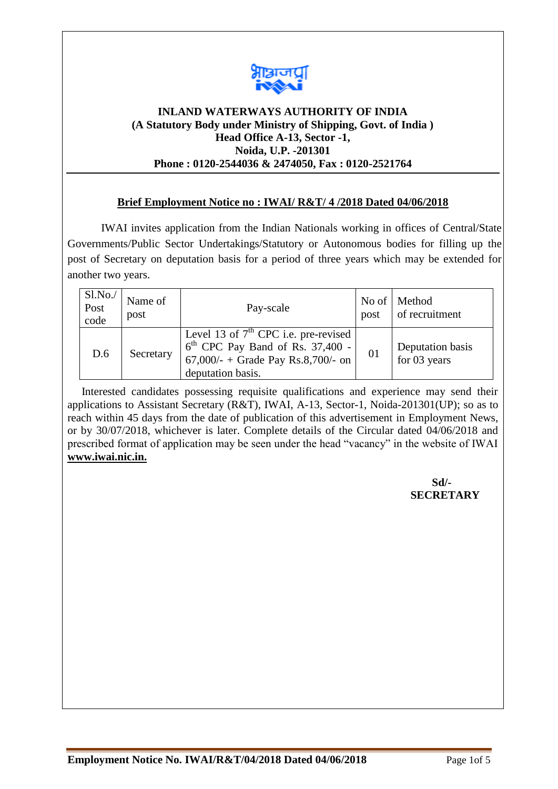

# **INLAND WATERWAYS AUTHORITY OF INDIA (A Statutory Body under Ministry of Shipping, Govt. of India ) Head Office A-13, Sector -1, Noida, U.P. -201301 Phone : 0120-2544036 & 2474050, Fax : 0120-2521764**

# **Brief Employment Notice no : IWAI/ R&T/ 4 /2018 Dated 04/06/2018**

IWAI invites application from the Indian Nationals working in offices of Central/State Governments/Public Sector Undertakings/Statutory or Autonomous bodies for filling up the post of Secretary on deputation basis for a period of three years which may be extended for another two years.

| S1.No.<br>Post<br>code | Name of<br>post | Pay-scale                                                                                                                               | post | No of   Method<br>of recruitment |
|------------------------|-----------------|-----------------------------------------------------------------------------------------------------------------------------------------|------|----------------------------------|
| D.6                    | Secretary       | Level 13 of $7th$ CPC i.e. pre-revised<br>$6th$ CPC Pay Band of Rs. 37,400 -<br>67,000/- + Grade Pay Rs.8,700/- on<br>deputation basis. | 01   | Deputation basis<br>for 03 years |

 Interested candidates possessing requisite qualifications and experience may send their applications to Assistant Secretary (R&T), IWAI, A-13, Sector-1, Noida-201301(UP); so as to reach within 45 days from the date of publication of this advertisement in Employment News, or by 30/07/2018, whichever is later. Complete details of the Circular dated 04/06/2018 and prescribed format of application may be seen under the head "vacancy" in the website of IWAI **[www.iwai.nic.in.](http://www.iwai.nic.in/)** 

> **Sd/- SECRETARY**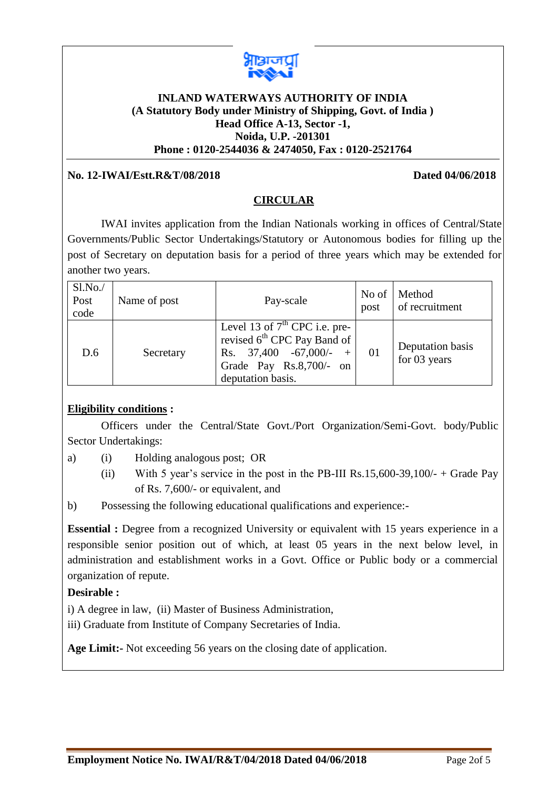

# **INLAND WATERWAYS AUTHORITY OF INDIA (A Statutory Body under Ministry of Shipping, Govt. of India ) Head Office A-13, Sector -1, Noida, U.P. -201301 Phone : 0120-2544036 & 2474050, Fax : 0120-2521764**

### **No. 12-IWAI/Estt.R&T/08/2018 Dated 04/06/2018**

### **CIRCULAR**

IWAI invites application from the Indian Nationals working in offices of Central/State Governments/Public Sector Undertakings/Statutory or Autonomous bodies for filling up the post of Secretary on deputation basis for a period of three years which may be extended for another two years.

| $Sl$ . No./<br>Post<br>code | Name of post | Pay-scale                                                                                                                                                      | No of<br>post | Method<br>of recruitment         |
|-----------------------------|--------------|----------------------------------------------------------------------------------------------------------------------------------------------------------------|---------------|----------------------------------|
| D.6                         | Secretary    | Level 13 of $7th$ CPC i.e. pre-<br>revised 6 <sup>th</sup> CPC Pay Band of<br>Rs. $37,400 -67,000/-$<br>$^{+}$<br>Grade Pay Rs.8,700/- on<br>deputation basis. | 01            | Deputation basis<br>for 03 years |

### **Eligibility conditions :**

Officers under the Central/State Govt./Port Organization/Semi-Govt. body/Public Sector Undertakings:

- a) (i) Holding analogous post; OR
	- (ii) With 5 year's service in the post in the PB-III Rs.15,600-39,100/- + Grade Pay of Rs. 7,600/- or equivalent, and
- b) Possessing the following educational qualifications and experience:-

**Essential** : Degree from a recognized University or equivalent with 15 years experience in a responsible senior position out of which, at least 05 years in the next below level, in administration and establishment works in a Govt. Office or Public body or a commercial organization of repute.

#### **Desirable :**

i) A degree in law, (ii) Master of Business Administration,

iii) Graduate from Institute of Company Secretaries of India.

**Age Limit:-** Not exceeding 56 years on the closing date of application.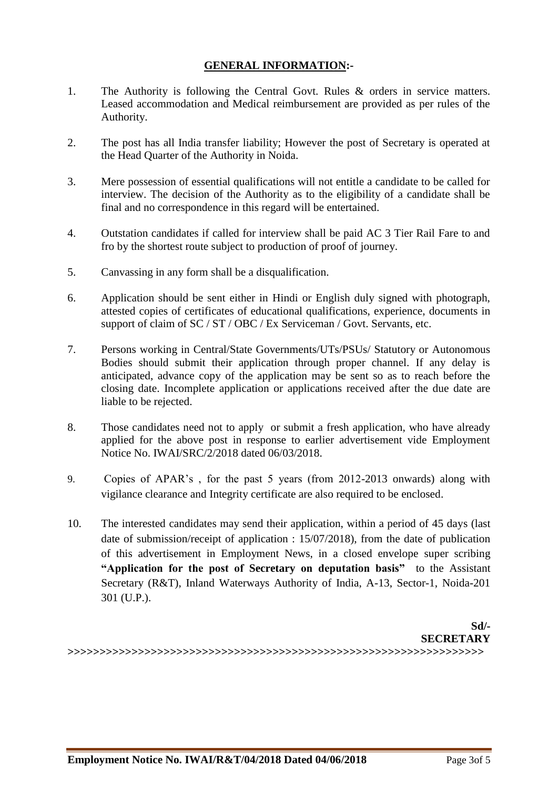# **GENERAL INFORMATION:-**

- 1. The Authority is following the Central Govt. Rules & orders in service matters. Leased accommodation and Medical reimbursement are provided as per rules of the Authority.
- 2. The post has all India transfer liability; However the post of Secretary is operated at the Head Quarter of the Authority in Noida.
- 3. Mere possession of essential qualifications will not entitle a candidate to be called for interview. The decision of the Authority as to the eligibility of a candidate shall be final and no correspondence in this regard will be entertained.
- 4. Outstation candidates if called for interview shall be paid AC 3 Tier Rail Fare to and fro by the shortest route subject to production of proof of journey.
- 5. Canvassing in any form shall be a disqualification.
- 6. Application should be sent either in Hindi or English duly signed with photograph, attested copies of certificates of educational qualifications, experience, documents in support of claim of SC / ST / OBC / Ex Serviceman / Govt. Servants, etc.
- 7. Persons working in Central/State Governments/UTs/PSUs/ Statutory or Autonomous Bodies should submit their application through proper channel. If any delay is anticipated, advance copy of the application may be sent so as to reach before the closing date. Incomplete application or applications received after the due date are liable to be rejected.
- 8. Those candidates need not to apply or submit a fresh application, who have already applied for the above post in response to earlier advertisement vide Employment Notice No. IWAI/SRC/2/2018 dated 06/03/2018.
- 9. Copies of APAR's , for the past 5 years (from 2012-2013 onwards) along with vigilance clearance and Integrity certificate are also required to be enclosed.
- 10. The interested candidates may send their application, within a period of 45 days (last date of submission/receipt of application : 15/07/2018), from the date of publication of this advertisement in Employment News, in a closed envelope super scribing **"Application for the post of Secretary on deputation basis"** to the Assistant Secretary (R&T), Inland Waterways Authority of India, A-13, Sector-1, Noida-201 301 (U.P.).

**Sd/- SECRETARY**

**>>>>>>>>>>>>>>>>>>>>>>>>>>>>>>>>>>>>>>>>>>>>>>>>>>>>>>>>>>>>>>>>>**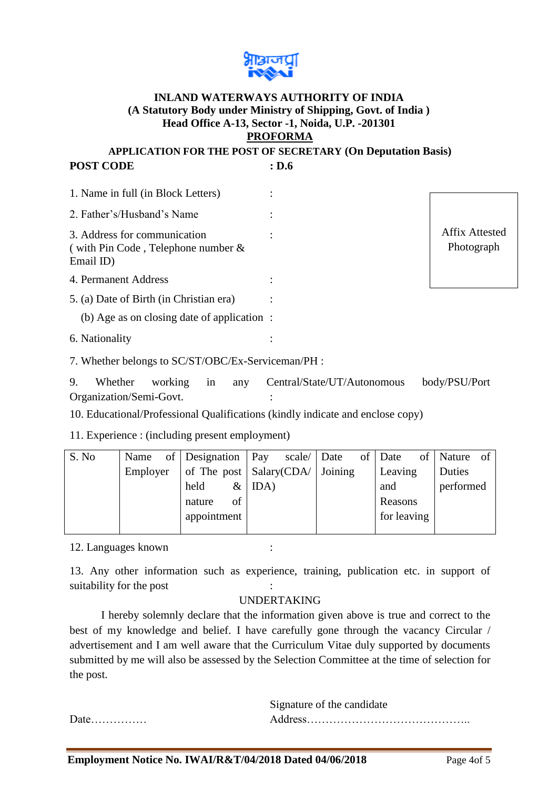

### **INLAND WATERWAYS AUTHORITY OF INDIA (A Statutory Body under Ministry of Shipping, Govt. of India ) Head Office A-13, Sector -1, Noida, U.P. -201301 PROFORMA**

**APPLICATION FOR THE POST OF SECRETARY (On Deputation Basis)** POST CODE : D.6

| 1. Name in full (in Block Letters)                                                 |  |  |                              |
|------------------------------------------------------------------------------------|--|--|------------------------------|
|                                                                                    |  |  |                              |
| 2. Father's/Husband's Name                                                         |  |  |                              |
| 3. Address for communication<br>(with Pin Code, Telephone number $\&$<br>Email ID) |  |  | Affix Attested<br>Photograph |
| 4. Permanent Address                                                               |  |  |                              |
| 5. (a) Date of Birth (in Christian era)                                            |  |  |                              |
| (b) Age as on closing date of application :                                        |  |  |                              |
| 6. Nationality                                                                     |  |  |                              |
|                                                                                    |  |  |                              |

7. Whether belongs to SC/ST/OBC/Ex-Serviceman/PH :

9. Whether working in any Central/State/UT/Autonomous body/PSU/Port Organization/Semi-Govt. :

10. Educational/Professional Qualifications (kindly indicate and enclose copy)

11. Experience : (including present employment)

| S. No | Name     | of   Designation   Pay |    |          | scale/ Date |                                                 | of Date     | of Nature of |  |
|-------|----------|------------------------|----|----------|-------------|-------------------------------------------------|-------------|--------------|--|
|       | Employer |                        |    |          |             | of The post $\vert$ Salary(CDA/ $\vert$ Joining | Leaving     | Duties       |  |
|       |          | held                   |    | $&$ IDA) |             |                                                 | and         | performed    |  |
|       |          | nature                 | of |          |             |                                                 | Reasons     |              |  |
|       |          | appointment            |    |          |             |                                                 | for leaving |              |  |
|       |          |                        |    |          |             |                                                 |             |              |  |

12. Languages known :

13. Any other information such as experience, training, publication etc. in support of suitability for the post

### UNDERTAKING

I hereby solemnly declare that the information given above is true and correct to the best of my knowledge and belief. I have carefully gone through the vacancy Circular / advertisement and I am well aware that the Curriculum Vitae duly supported by documents submitted by me will also be assessed by the Selection Committee at the time of selection for the post.

|      | Signature of the candidate |
|------|----------------------------|
| Date |                            |